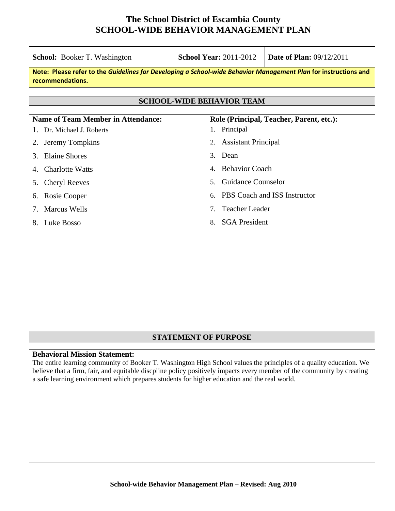| <b>School:</b> Booker T. Washington                                                                                                 | <b>School Year: 2011-2012</b>                             | <b>Date of Plan: 09/12/2011</b> |  |  |  |  |
|-------------------------------------------------------------------------------------------------------------------------------------|-----------------------------------------------------------|---------------------------------|--|--|--|--|
| Note: Please refer to the Guidelines for Developing a School-wide Behavior Management Plan for instructions and<br>recommendations. |                                                           |                                 |  |  |  |  |
| <b>SCHOOL-WIDE BEHAVIOR TEAM</b>                                                                                                    |                                                           |                                 |  |  |  |  |
|                                                                                                                                     |                                                           |                                 |  |  |  |  |
| <b>Name of Team Member in Attendance:</b><br>Dr. Michael J. Roberts                                                                 | Role (Principal, Teacher, Parent, etc.):<br>1. Principal  |                                 |  |  |  |  |
| Jeremy Tompkins<br>2.                                                                                                               | 2. Assistant Principal                                    |                                 |  |  |  |  |
| <b>Elaine Shores</b><br>3.                                                                                                          | Dean<br>3.                                                |                                 |  |  |  |  |
| <b>Charlotte Watts</b><br>4.                                                                                                        | <b>Behavior Coach</b><br>4.                               |                                 |  |  |  |  |
| <b>Cheryl Reeves</b><br>5.                                                                                                          | <b>Guidance Counselor</b><br>5.                           |                                 |  |  |  |  |
| Rosie Cooper<br>6.                                                                                                                  | 6.                                                        | PBS Coach and ISS Instructor    |  |  |  |  |
| <b>Marcus Wells</b><br>7.                                                                                                           | <b>Teacher Leader</b><br>$7_{\scriptscriptstyle{\ddots}}$ |                                 |  |  |  |  |
| Luke Bosso<br>8.                                                                                                                    | <b>SGA</b> President<br>8.                                |                                 |  |  |  |  |
|                                                                                                                                     |                                                           |                                 |  |  |  |  |
|                                                                                                                                     |                                                           |                                 |  |  |  |  |
|                                                                                                                                     |                                                           |                                 |  |  |  |  |
|                                                                                                                                     |                                                           |                                 |  |  |  |  |

#### **STATEMENT OF PURPOSE**

#### **Behavioral Mission Statement:**

The entire learning community of Booker T. Washington High School values the principles of a quality education. We believe that a firm, fair, and equitable discpline policy positively impacts every member of the community by creating a safe learning environment which prepares students for higher education and the real world.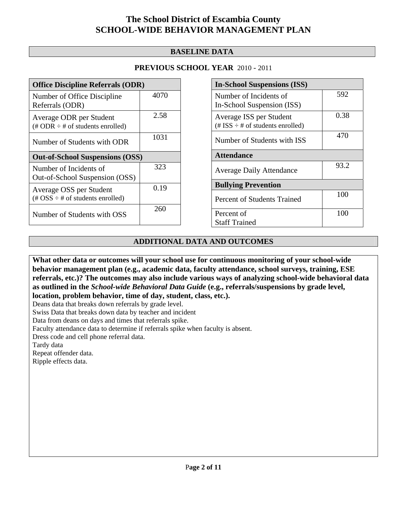#### **BASELINE DATA**

#### **PREVIOUS SCHOOL YEAR** 2010 - 2011

| <b>Office Discipline Referrals (ODR)</b>                                                        |      |  |  |
|-------------------------------------------------------------------------------------------------|------|--|--|
| Number of Office Discipline<br>Referrals (ODR)                                                  | 4070 |  |  |
| Average ODR per Student<br>(# ODR $\div$ # of students enrolled)                                | 2.58 |  |  |
| Number of Students with ODR                                                                     | 1031 |  |  |
| <b>Out-of-School Suspensions (OSS)</b>                                                          |      |  |  |
| Number of Incidents of<br>Out-of-School Suspension (OSS)                                        | 323  |  |  |
| Average OSS per Student<br>$(\text{\#} \text{OSS} \div \text{\#} \text{ of students enrolled})$ | 0.19 |  |  |
| Number of Students with OSS                                                                     | 260  |  |  |

| <b>In-School Suspensions (ISS)</b>      |      |  |
|-----------------------------------------|------|--|
| Number of Incidents of                  | 592  |  |
| In-School Suspension (ISS)              |      |  |
| Average ISS per Student                 | 0.38 |  |
| $(\# ISS \div \# of students enrolled)$ |      |  |
| Number of Students with ISS             | 470  |  |
| <b>Attendance</b>                       |      |  |
| <b>Average Daily Attendance</b>         | 93.2 |  |
| <b>Bullying Prevention</b>              |      |  |
| Percent of Students Trained             | 100  |  |
| Percent of                              | 100  |  |
| <b>Staff Trained</b>                    |      |  |

#### **ADDITIONAL DATA AND OUTCOMES**

**What other data or outcomes will your school use for continuous monitoring of your school-wide behavior management plan (e.g., academic data, faculty attendance, school surveys, training, ESE referrals, etc.)? The outcomes may also include various ways of analyzing school-wide behavioral data as outlined in the** *School-wide Behavioral Data Guide* **(e.g., referrals/suspensions by grade level, location, problem behavior, time of day, student, class, etc.).**

Deans data that breaks down referrals by grade level.

Swiss Data that breaks down data by teacher and incident

Data from deans on days and times that referrals spike.

Faculty attendance data to determine if referrals spike when faculty is absent.

Dress code and cell phone referral data.

Tardy data

Repeat offender data.

Ripple effects data.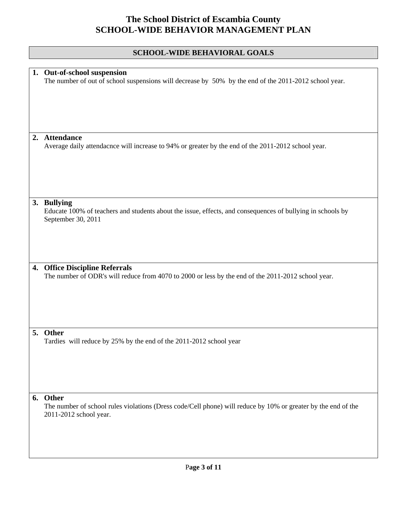### **SCHOOL-WIDE BEHAVIORAL GOALS**

|    | 1. Out-of-school suspension<br>The number of out of school suspensions will decrease by 50% by the end of the 2011-2012 school year.             |
|----|--------------------------------------------------------------------------------------------------------------------------------------------------|
| 2. | <b>Attendance</b>                                                                                                                                |
|    | Average daily attendacnce will increase to 94% or greater by the end of the 2011-2012 school year.                                               |
|    | 3. Bullying<br>Educate 100% of teachers and students about the issue, effects, and consequences of bullying in schools by                        |
|    | September 30, 2011                                                                                                                               |
| 4. | <b>Office Discipline Referrals</b>                                                                                                               |
|    | The number of ODR's will reduce from 4070 to 2000 or less by the end of the 2011-2012 school year.                                               |
|    | 5. Other<br>Tardies will reduce by 25% by the end of the 2011-2012 school year                                                                   |
|    |                                                                                                                                                  |
| 6. | Other<br>The number of school rules violations (Dress code/Cell phone) will reduce by 10% or greater by the end of the<br>2011-2012 school year. |
|    |                                                                                                                                                  |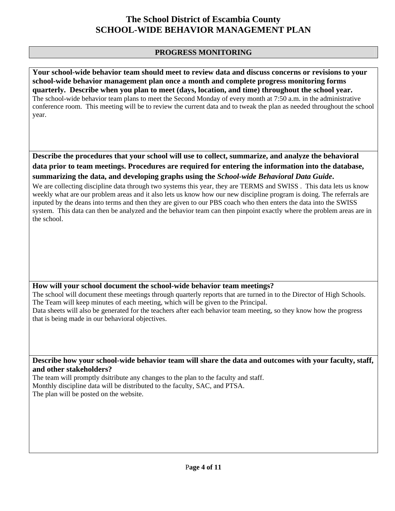#### **PROGRESS MONITORING**

**Your school-wide behavior team should meet to review data and discuss concerns or revisions to your school-wide behavior management plan once a month and complete progress monitoring forms quarterly. Describe when you plan to meet (days, location, and time) throughout the school year.**  The school-wide behavior team plans to meet the Second Monday of every month at 7:50 a.m. in the administrative conference room. This meeting will be to review the current data and to tweak the plan as needed throughout the school year.

**Describe the procedures that your school will use to collect, summarize, and analyze the behavioral data prior to team meetings. Procedures are required for entering the information into the database, summarizing the data, and developing graphs using the** *School-wide Behavioral Data Guide***.** 

We are collecting discipline data through two systems this year, they are TERMS and SWISS. This data lets us know weekly what are our problem areas and it also lets us know how our new discipline program is doing. The referrals are inputed by the deans into terms and then they are given to our PBS coach who then enters the data into the SWISS system. This data can then be analyzed and the behavior team can then pinpoint exactly where the problem areas are in the school.

#### **How will your school document the school-wide behavior team meetings?**

The school will document these meetings through quarterly reports that are turned in to the Director of High Schools. The Team will keep minutes of each meeting, which will be given to the Principal. Data sheets will also be generated for the teachers after each behavior team meeting, so they know how the progress

that is being made in our behavioral objectives.

**Describe how your school-wide behavior team will share the data and outcomes with your faculty, staff, and other stakeholders?** 

The team will promptly dsitribute any changes to the plan to the faculty and staff.

Monthly discipline data will be distributed to the faculty, SAC, and PTSA. The plan will be posted on the website.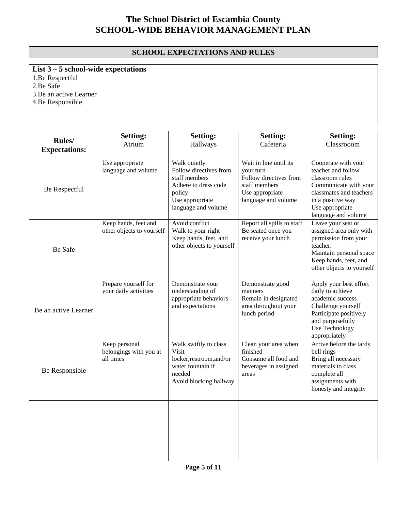### **SCHOOL EXPECTATIONS AND RULES**

**List 3 – 5 school-wide expectations**

1.Be Respectful

2.Be Safe

3.Be an active Learner

4.Be Responsible

|                                        | <b>Setting:</b>                                      | <b>Setting:</b>                                                                                                                     | <b>Setting:</b>                                                                                                          | <b>Setting:</b>                                                                                                                                                                 |
|----------------------------------------|------------------------------------------------------|-------------------------------------------------------------------------------------------------------------------------------------|--------------------------------------------------------------------------------------------------------------------------|---------------------------------------------------------------------------------------------------------------------------------------------------------------------------------|
| <b>Rules</b> /<br><b>Expectations:</b> | Atrium                                               | Hallways                                                                                                                            | Cafeteria                                                                                                                | Classrooom                                                                                                                                                                      |
| Be Respectful                          | Use appropriate<br>language and volume               | Walk quietly<br>Follow directives from<br>staff members<br>Adhere to dress code<br>policy<br>Use appropriate<br>language and volume | Wait in line until its<br>your turn<br>Follow directives from<br>staff members<br>Use appropriate<br>language and volume | Cooperate with your<br>teacher and follow<br>classroom rules<br>Communicate with your<br>classmates and teachers<br>in a positive way<br>Use appropriate<br>language and volume |
| Be Safe                                | Keep hands, feet and<br>other objects to yourself    | Avoid conflict<br>Walk to your right<br>Keep hands, feet, and<br>other objects to yourself                                          | Report all spills to staff<br>Be seated once you<br>receive your lunch                                                   | Leave your seat or<br>assigned area only with<br>permission from your<br>teacher.<br>Maintain personal space<br>Keep hands, feet, and<br>other objects to yourself              |
| Be an active Learner                   | Prepare yourself for<br>your daily activities        | Demonstrate your<br>understanding of<br>appropriate behaviors<br>and expectations                                                   | Demonstrate good<br>manners<br>Remain in designated<br>area throughout your<br>lunch period                              | Apply your best effort<br>daily to achieve<br>academic success<br>Challenge yourself<br>Participate positively<br>and purposefully<br>Use Technology<br>appropriately           |
| Be Responsible                         | Keep personal<br>belongings with you at<br>all times | Walk swiftly to class<br>Visit<br>locker,restroom,and/or<br>water fountain if<br>needed<br>Avoid blocking hallway                   | Clean your area when<br>finished<br>Consume all food and<br>beverages in assigned<br>areas                               | Arrive before the tardy<br>bell rings<br>Bring all necessary<br>materials to class<br>complete all<br>assignments with<br>honesty and integrity                                 |
|                                        |                                                      |                                                                                                                                     |                                                                                                                          |                                                                                                                                                                                 |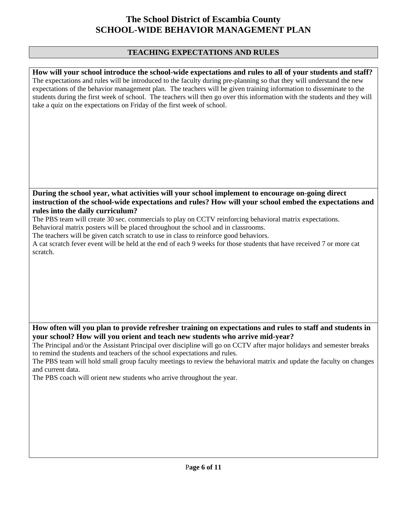#### **TEACHING EXPECTATIONS AND RULES**

**How will your school introduce the school-wide expectations and rules to all of your students and staff?**  The expectations and rules will be introduced to the faculty during pre-planning so that they will understand the new expectations of the behavior management plan. The teachers will be given training information to disseminate to the students during the first week of school. The teachers will then go over this information with the students and they will take a quiz on the expectations on Friday of the first week of school.

**During the school year, what activities will your school implement to encourage on-going direct instruction of the school-wide expectations and rules? How will your school embed the expectations and rules into the daily curriculum?** 

The PBS team will create 30 sec. commercials to play on CCTV reinforcing behavioral matrix expectations.

Behavioral matrix posters will be placed throughout the school and in classrooms.

The teachers will be given catch scratch to use in class to reinforce good behaviors.

A cat scratch fever event will be held at the end of each 9 weeks for those students that have received 7 or more cat scratch.

**How often will you plan to provide refresher training on expectations and rules to staff and students in your school? How will you orient and teach new students who arrive mid-year?** 

The Principal and/or the Assistant Principal over discipline will go on CCTV after major holidays and semester breaks to remind the students and teachers of the school expectations and rules.

The PBS team will hold small group faculty meetings to review the behavioral matrix and update the faculty on changes and current data.

The PBS coach will orient new students who arrive throughout the year.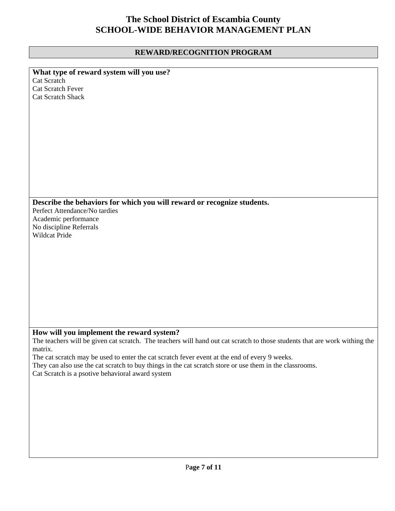### **REWARD/RECOGNITION PROGRAM**

| What type of reward system will you use?                                                                                   |
|----------------------------------------------------------------------------------------------------------------------------|
| Cat Scratch                                                                                                                |
| Cat Scratch Fever                                                                                                          |
| <b>Cat Scratch Shack</b>                                                                                                   |
|                                                                                                                            |
|                                                                                                                            |
|                                                                                                                            |
|                                                                                                                            |
|                                                                                                                            |
|                                                                                                                            |
|                                                                                                                            |
|                                                                                                                            |
|                                                                                                                            |
|                                                                                                                            |
|                                                                                                                            |
|                                                                                                                            |
|                                                                                                                            |
| Describe the behaviors for which you will reward or recognize students.<br>Perfect Attendance/No tardies                   |
|                                                                                                                            |
| Academic performance                                                                                                       |
| No discipline Referrals                                                                                                    |
| Wildcat Pride                                                                                                              |
|                                                                                                                            |
|                                                                                                                            |
|                                                                                                                            |
|                                                                                                                            |
|                                                                                                                            |
|                                                                                                                            |
|                                                                                                                            |
|                                                                                                                            |
|                                                                                                                            |
|                                                                                                                            |
|                                                                                                                            |
| How will you implement the reward system?                                                                                  |
| The teachers will be given cat scratch. The teachers will hand out cat scratch to those students that are work withing the |
| matrix.                                                                                                                    |
| The cat scratch may be used to enter the cat scratch fever event at the end of every 9 weeks.                              |
| They can also use the cat scratch to buy things in the cat scratch store or use them in the classrooms.                    |
| Cat Scratch is a psotive behavioral award system                                                                           |
|                                                                                                                            |
|                                                                                                                            |
|                                                                                                                            |
|                                                                                                                            |
|                                                                                                                            |
|                                                                                                                            |
|                                                                                                                            |
|                                                                                                                            |
|                                                                                                                            |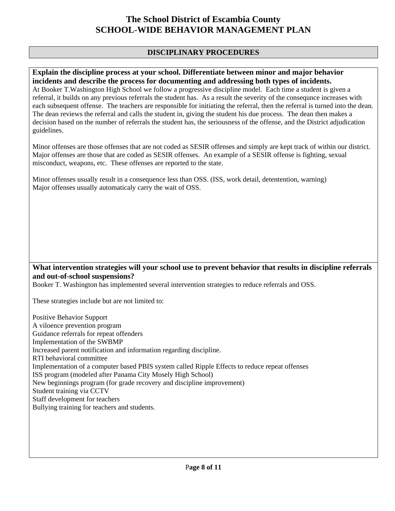#### **DISCIPLINARY PROCEDURES**

#### **Explain the discipline process at your school. Differentiate between minor and major behavior incidents and describe the process for documenting and addressing both types of incidents.**

At Booker T.Washington High School we follow a progressive discipline model. Each time a student is given a referral, it builds on any previous referrals the student has. As a result the severity of the consequnce increases with each subsequent offense. The teachers are responsible for initiating the referral, then the referral is turned into the dean. The dean reviews the referral and calls the student in, giving the student his due process. The dean then makes a decision based on the number of referrals the student has, the seriousness of the offense, and the District adjudication guidelines.

Minor offenses are those offenses that are not coded as SESIR offenses and simply are kept track of within our district. Major offenses are those that are coded as SESIR offenses. An example of a SESIR offense is fighting, sexual misconduct, weapons, etc. These offenses are reported to the state.

Minor offenses usually result in a consequence less than OSS. (ISS, work detail, detentention, warning) Major offenses usually automaticaly carry the wait of OSS.

#### **What intervention strategies will your school use to prevent behavior that results in discipline referrals and out-of-school suspensions?**

Booker T. Washington has implemented several intervention strategies to reduce referrals and OSS.

These strategies include but are not limited to:

Positive Behavior Support A viloence prevention program Guidance referrals for repeat offenders Implementation of the SWBMP Increased parent notification and information regarding discipline. RTI behavioral committee Implementation of a computer based PBIS system called Ripple Effects to reduce repeat offenses ISS program (modeled after Panama City Mosely High School) New beginnings program (for grade recovery and discipline improvement) Student training via CCTV Staff development for teachers Bullying training for teachers and students.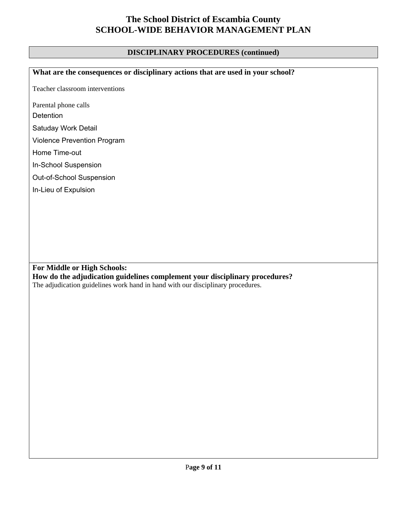#### **DISCIPLINARY PROCEDURES (continued)**

**What are the consequences or disciplinary actions that are used in your school?** 

Teacher classroom interventions

Parental phone calls

**Detention** 

Satuday Work Detail

Violence Prevention Program

Home Time-out

In-School Suspension

Out-of-School Suspension

In-Lieu of Expulsion

**For Middle or High Schools: How do the adjudication guidelines complement your disciplinary procedures?**  The adjudication guidelines work hand in hand with our disciplinary procedures.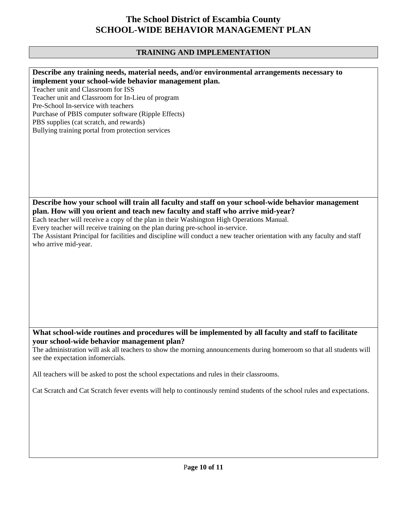#### **TRAINING AND IMPLEMENTATION**